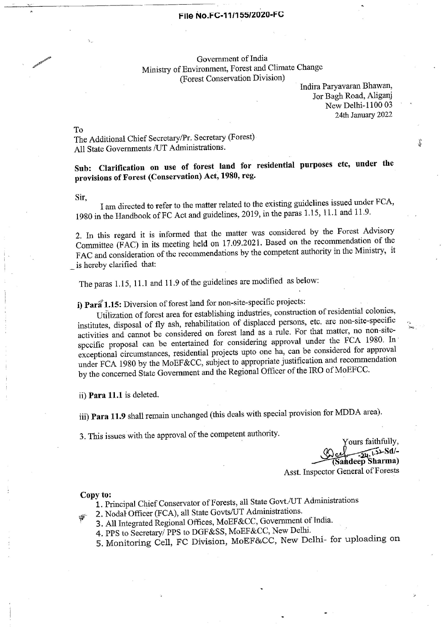## File No.FC-11/155/2020-FG

Government of India Ministry of Environment, Forest and Climate Change (Forest Conservation Division)

Indira Paryavaran Bhawan, Jor Bagh Road, Aliganj New Delhi-1100 03 24th January 2022

المنابع

To

The Additional Chief Secretary/Pr. Secretary (Forest) All State Governments /UT Administrations.

Sub: Clarification on use of forest land for residential purposes etc, under the provisions of Forest (Conservation) Act, 1980, reg.

Sir,

Lam directed to refer to the matter related to the existing guidelines issued under FCA, 1980 in the Handbook of FC Act and guidelines, 2019, in the paras 1.15, 11.1 and 11.9.

2. In this regard it is informed that the matter was considered by the Forest Advisory Committee (FAC) in its meeting held on 17.09.2021. Based on the recommendation of the FAC and consideration of the recommendations by the competent authority in the Ministry, it is hereby clarified that:

The paras 1.15, 11.1 and 11.9 of the guidelines are modified as below:

i) Para 1.15: Diversion of forest land for non-site-specific projects:

Utilization of forest area for establishing industries, construction of residential colonies, institutes, disposal of fly ash, rehabilitation of displaced persons, etc. are non-site-specific activities and cannot be considered on forest land as a rule. For that matter, no non-sitespecific proposal can be entertained for considering approval under the FCA 1980. In' exceptional circumstances, residential projects upto one ha, can be considered for approval under FCA 1980 by the MoEF&CC, subject to appropriate justification and recommendation by the concerned State Government and the Regional Officer of the IRO of MoEFCC.

ii) Para 11.1 is deleted.

iii) Para 11.9 shall remain unchanged (this deals with special provision for MDDA area).

3, This issues with the approval of the competent authority.

, Yours faithfully,  $-24.12-Sd/$ Sandeep Sharma)

Asst. Inspector General of Forests

Copy to:

1. Principal Chief Conservator of Forests, all State Govt./UT Administrations

2. Nodal: Officer (FCA), all State Govts/UT Administrations.

- : 3. All Integrated Regional Offices, MoEF&CC, Government of India.
	- 4, PPS to Secretary/ PPS to DGF&SS, MoEF&CC, New Delhi. .
	- 5. Monitoring Cell, FC Division, MoEF&CC, New Delhi- for uploading on